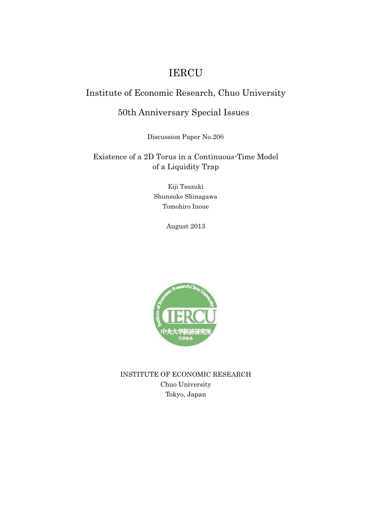## IERCU

### Institute of Economic Research, Chuo University

### 50th Anniversary Special Issues

Discussion Paper No.206

### Existence of a 2D Torus in a Continuous-Time Model of a Liquidity Trap

Eiji Tsuzuki Shunsuke Shinagawa Tomohiro Inoue

August 2013



INSTITUTE OF ECONOMIC RESEARCH Chuo University Tokyo, Japan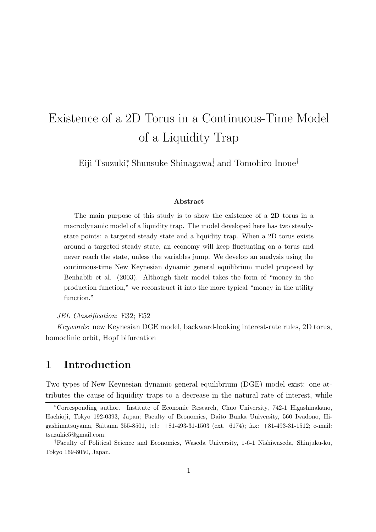# Existence of a 2D Torus in a Continuous-Time Model of a Liquidity Trap

Eiji Tsuzuki<sup>∗</sup> , Shunsuke Shinagawa† , and Tomohiro Inoue†

#### Abstract

The main purpose of this study is to show the existence of a 2D torus in a macrodynamic model of a liquidity trap. The model developed here has two steadystate points: a targeted steady state and a liquidity trap. When a 2D torus exists around a targeted steady state, an economy will keep fluctuating on a torus and never reach the state, unless the variables jump. We develop an analysis using the continuous-time New Keynesian dynamic general equilibrium model proposed by Benhabib et al. (2003). Although their model takes the form of "money in the production function," we reconstruct it into the more typical "money in the utility function."

#### JEL Classification: E32; E52

Keywords: new Keynesian DGE model, backward-looking interest-rate rules, 2D torus, homoclinic orbit, Hopf bifurcation

## 1 Introduction

Two types of New Keynesian dynamic general equilibrium (DGE) model exist: one attributes the cause of liquidity traps to a decrease in the natural rate of interest, while

<sup>∗</sup>Corresponding author. Institute of Economic Research, Chuo University, 742-1 Higashinakano, Hachioji, Tokyo 192-0393, Japan; Faculty of Economics, Daito Bunka University, 560 Iwadono, Higashimatsuyama, Saitama 355-8501, tel.: +81-493-31-1503 (ext. 6174); fax: +81-493-31-1512; e-mail: tsuzukie5@gmail.com.

<sup>†</sup>Faculty of Political Science and Economics, Waseda University, 1-6-1 Nishiwaseda, Shinjuku-ku, Tokyo 169-8050, Japan.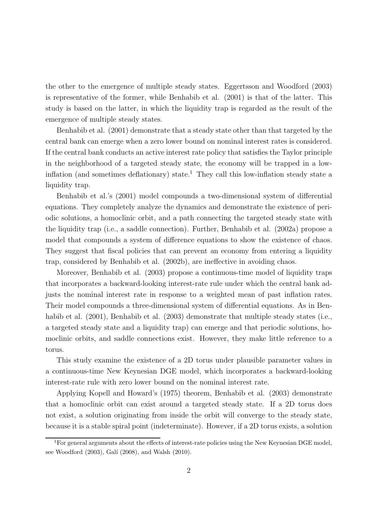the other to the emergence of multiple steady states. Eggertsson and Woodford (2003) is representative of the former, while Benhabib et al. (2001) is that of the latter. This study is based on the latter, in which the liquidity trap is regarded as the result of the emergence of multiple steady states.

Benhabib et al. (2001) demonstrate that a steady state other than that targeted by the central bank can emerge when a zero lower bound on nominal interest rates is considered. If the central bank conducts an active interest rate policy that satisfies the Taylor principle in the neighborhood of a targeted steady state, the economy will be trapped in a lowinflation (and sometimes deflationary) state.<sup>1</sup> They call this low-inflation steady state a liquidity trap.

Benhabib et al.'s (2001) model compounds a two-dimensional system of differential equations. They completely analyze the dynamics and demonstrate the existence of periodic solutions, a homoclinic orbit, and a path connecting the targeted steady state with the liquidity trap (i.e., a saddle connection). Further, Benhabib et al. (2002a) propose a model that compounds a system of difference equations to show the existence of chaos. They suggest that fiscal policies that can prevent an economy from entering a liquidity trap, considered by Benhabib et al. (2002b), are ineffective in avoiding chaos.

Moreover, Benhabib et al. (2003) propose a continuous-time model of liquidity traps that incorporates a backward-looking interest-rate rule under which the central bank adjusts the nominal interest rate in response to a weighted mean of past inflation rates. Their model compounds a three-dimensional system of differential equations. As in Benhabib et al. (2001), Benhabib et al. (2003) demonstrate that multiple steady states (i.e., a targeted steady state and a liquidity trap) can emerge and that periodic solutions, homoclinic orbits, and saddle connections exist. However, they make little reference to a torus.

This study examine the existence of a 2D torus under plausible parameter values in a continuous-time New Keynesian DGE model, which incorporates a backward-looking interest-rate rule with zero lower bound on the nominal interest rate.

Applying Kopell and Howard's (1975) theorem, Benhabib et al. (2003) demonstrate that a homoclinic orbit can exist around a targeted steady state. If a 2D torus does not exist, a solution originating from inside the orbit will converge to the steady state, because it is a stable spiral point (indeterminate). However, if a 2D torus exists, a solution

<sup>&</sup>lt;sup>1</sup>For general arguments about the effects of interest-rate policies using the New Keynesian DGE model, see Woodford (2003), Galí (2008), and Walsh (2010).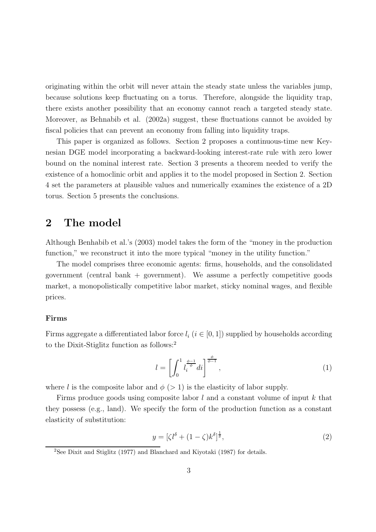originating within the orbit will never attain the steady state unless the variables jump, because solutions keep fluctuating on a torus. Therefore, alongside the liquidity trap, there exists another possibility that an economy cannot reach a targeted steady state. Moreover, as Behnabib et al. (2002a) suggest, these fluctuations cannot be avoided by fiscal policies that can prevent an economy from falling into liquidity traps.

This paper is organized as follows. Section 2 proposes a continuous-time new Keynesian DGE model incorporating a backward-looking interest-rate rule with zero lower bound on the nominal interest rate. Section 3 presents a theorem needed to verify the existence of a homoclinic orbit and applies it to the model proposed in Section 2. Section 4 set the parameters at plausible values and numerically examines the existence of a 2D torus. Section 5 presents the conclusions.

### 2 The model

Although Benhabib et al.'s (2003) model takes the form of the "money in the production function," we reconstruct it into the more typical "money in the utility function."

The model comprises three economic agents: firms, households, and the consolidated government (central bank + government). We assume a perfectly competitive goods market, a monopolistically competitive labor market, sticky nominal wages, and flexible prices.

#### Firms

Firms aggregate a differentiated labor force  $l_i$  ( $i \in [0, 1]$ ) supplied by households according to the Dixit-Stiglitz function as follows:<sup>2</sup>

$$
l = \left[ \int_0^1 l_i^{\frac{\phi - 1}{\phi}} di \right]^{\frac{\phi}{\phi - 1}},\tag{1}
$$

where l is the composite labor and  $\phi$  (> 1) is the elasticity of labor supply.

Firms produce goods using composite labor  $l$  and a constant volume of input  $k$  that they possess (e.g., land). We specify the form of the production function as a constant elasticity of substitution:

$$
y = \left[\zeta l^{\delta} + (1 - \zeta)k^{\delta}\right]^{\frac{1}{\delta}},\tag{2}
$$

<sup>2</sup>See Dixit and Stiglitz (1977) and Blanchard and Kiyotaki (1987) for details.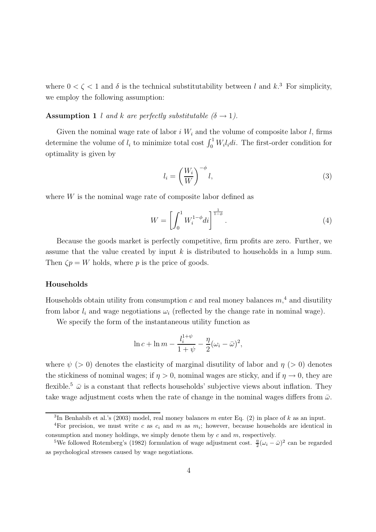where  $0 < \zeta < 1$  and  $\delta$  is the technical substitutability between l and k.<sup>3</sup> For simplicity, we employ the following assumption:

#### **Assumption 1** l and k are perfectly substitutable  $(\delta \rightarrow 1)$ .

Given the nominal wage rate of labor  $i W_i$  and the volume of composite labor  $l$ , firms determine the volume of  $l_i$  to minimize total cost  $\int_0^1 W_i l_i dt$ . The first-order condition for optimality is given by

$$
l_i = \left(\frac{W_i}{W}\right)^{-\phi} l,\tag{3}
$$

where  $W$  is the nominal wage rate of composite labor defined as

$$
W = \left[ \int_0^1 W_i^{1-\phi} di \right]^{\frac{1}{1-\phi}}.
$$
 (4)

Because the goods market is perfectly competitive, firm profits are zero. Further, we assume that the value created by input  $k$  is distributed to households in a lump sum. Then  $\zeta p = W$  holds, where p is the price of goods.

#### Households

Households obtain utility from consumption  $c$  and real money balances  $m<sup>4</sup>$  and disutility from labor  $l_i$  and wage negotiations  $\omega_i$  (reflected by the change rate in nominal wage).

We specify the form of the instantaneous utility function as

$$
\ln c + \ln m - \frac{l_i^{1+\psi}}{1+\psi} - \frac{\eta}{2}(\omega_i - \bar{\omega})^2,
$$

where  $\psi$  (> 0) denotes the elasticity of marginal disutility of labor and  $\eta$  (> 0) denotes the stickiness of nominal wages; if  $\eta > 0$ , nominal wages are sticky, and if  $\eta \to 0$ , they are flexible.<sup>5</sup>  $\bar{\omega}$  is a constant that reflects households' subjective views about inflation. They take wage adjustment costs when the rate of change in the nominal wages differs from  $\bar{\omega}$ .

<sup>&</sup>lt;sup>3</sup>In Benhabib et al.'s (2003) model, real money balances m enter Eq. (2) in place of k as an input.

<sup>&</sup>lt;sup>4</sup>For precision, we must write c as  $c_i$  and m as  $m_i$ ; however, because households are identical in consumption and money holdings, we simply denote them by  $c$  and  $m$ , respectively.

<sup>&</sup>lt;sup>5</sup>We followed Rotemberg's (1982) formulation of wage adjustment cost.  $\frac{\eta}{2}(\omega_i - \bar{\omega})^2$  can be regarded as psychological stresses caused by wage negotiations.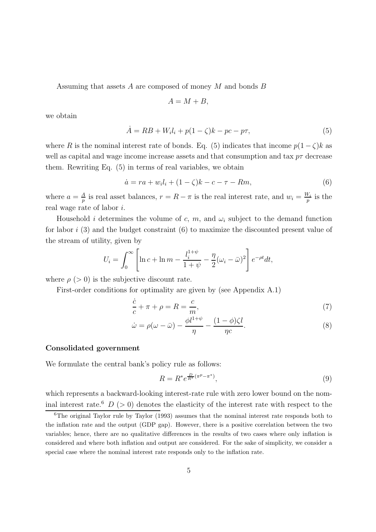Assuming that assets A are composed of money M and bonds B

$$
A = M + B,
$$

we obtain

$$
\dot{A} = RB + W_i l_i + p(1 - \zeta)k - pc - p\tau,
$$
\n(5)

where R is the nominal interest rate of bonds. Eq. (5) indicates that income  $p(1-\zeta)k$  as well as capital and wage income increase assets and that consumption and tax  $p\tau$  decrease them. Rewriting Eq. (5) in terms of real variables, we obtain

$$
\dot{a} = ra + w_i l_i + (1 - \zeta) k - c - \tau - Rm,\tag{6}
$$

where  $a = \frac{A}{n}$  $\frac{A}{p}$  is real asset balances,  $r = R - \pi$  is the real interest rate, and  $w_i = \frac{W_i}{p}$  $\frac{v_i}{p}$  is the real wage rate of labor i.

Household *i* determines the volume of c, m, and  $\omega_i$  subject to the demand function for labor i (3) and the budget constraint (6) to maximize the discounted present value of the stream of utility, given by

$$
U_i = \int_0^\infty \left[ \ln c + \ln m - \frac{l_i^{1+\psi}}{1+\psi} - \frac{\eta}{2} (\omega_i - \bar{\omega})^2 \right] e^{-\rho t} dt,
$$

where  $\rho$  ( $> 0$ ) is the subjective discount rate.

First-order conditions for optimality are given by (see Appendix A.1)

$$
\frac{\dot{c}}{c} + \pi + \rho = R = \frac{c}{m},\tag{7}
$$

$$
\dot{\omega} = \rho(\omega - \bar{\omega}) - \frac{\phi l^{1+\psi}}{\eta} - \frac{(1-\phi)\zeta l}{\eta c}.
$$
\n(8)

#### Consolidated government

We formulate the central bank's policy rule as follows:

$$
R = R^* e^{\frac{D}{R^*} (\pi^p - \pi^*)},\tag{9}
$$

which represents a backward-looking interest-rate rule with zero lower bound on the nominal interest rate.<sup>6</sup>  $D$  (> 0) denotes the elasticity of the interest rate with respect to the

 ${}^{6}$ The original Taylor rule by Taylor (1993) assumes that the nominal interest rate responds both to the inflation rate and the output (GDP gap). However, there is a positive correlation between the two variables; hence, there are no qualitative differences in the results of two cases where only inflation is considered and where both inflation and output are considered. For the sake of simplicity, we consider a special case where the nominal interest rate responds only to the inflation rate.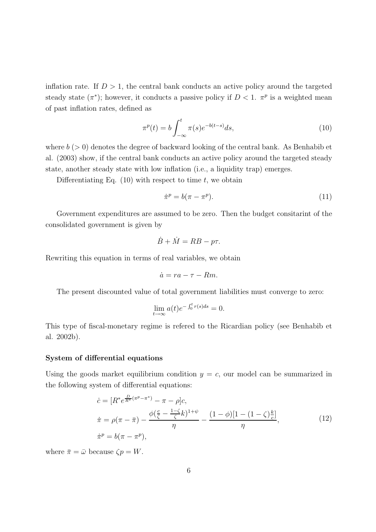inflation rate. If  $D > 1$ , the central bank conducts an active policy around the targeted steady state  $(\pi^*)$ ; however, it conducts a passive policy if  $D < 1$ .  $\pi^p$  is a weighted mean of past inflation rates, defined as

$$
\pi^{p}(t) = b \int_{-\infty}^{t} \pi(s) e^{-b(t-s)} ds,
$$
\n(10)

where  $b (> 0)$  denotes the degree of backward looking of the central bank. As Benhabib et al. (2003) show, if the central bank conducts an active policy around the targeted steady state, another steady state with low inflation (i.e., a liquidity trap) emerges.

Differentiating Eq.  $(10)$  with respect to time t, we obtain

$$
\dot{\pi}^p = b(\pi - \pi^p). \tag{11}
$$

Government expenditures are assumed to be zero. Then the budget consitarint of the consolidated government is given by

$$
\dot{B} + \dot{M} = RB - p\tau.
$$

Rewriting this equation in terms of real variables, we obtain

$$
\dot{a}=ra-\tau-Rm.
$$

The present discounted value of total government liabilities must converge to zero:

$$
\lim_{t \to \infty} a(t)e^{-\int_0^t r(s)ds} = 0.
$$

This type of fiscal-monetary regime is refered to the Ricardian policy (see Benhabib et al. 2002b).

#### System of differential equations

Using the goods market equilibrium condition  $y = c$ , our model can be summarized in the following system of differential equations:

$$
\begin{aligned}\n\dot{c} &= [R^* e^{\frac{D}{R^*}(\pi^p - \pi^*)} - \pi - \rho]c, \\
\dot{\pi} &= \rho(\pi - \bar{\pi}) - \frac{\phi(\frac{c}{\zeta} - \frac{1-\zeta}{\zeta}k)^{1+\psi}}{\eta} - \frac{(1-\phi)[1 - (1-\zeta)\frac{k}{c}]}{\eta}, \\
\dot{\pi}^p &= b(\pi - \pi^p),\n\end{aligned} \tag{12}
$$

where  $\bar{\pi} = \bar{\omega}$  because  $\zeta p = W$ .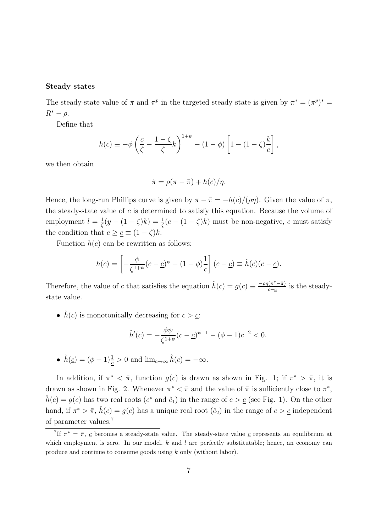#### Steady states

The steady-state value of  $\pi$  and  $\pi^p$  in the targeted steady state is given by  $\pi^* = (\pi^p)^* =$  $R^* - \rho$ .

Define that

$$
h(c) \equiv -\phi \left(\frac{c}{\zeta} - \frac{1-\zeta}{\zeta}k\right)^{1+\psi} - (1-\phi) \left[1 - (1-\zeta)\frac{k}{c}\right],
$$

we then obtain

$$
\dot{\pi} = \rho(\pi - \bar{\pi}) + h(c)/\eta.
$$

Hence, the long-run Phillips curve is given by  $\pi - \bar{\pi} = -h(c)/(\rho \eta)$ . Given the value of  $\pi$ , the steady-state value of  $c$  is determined to satisfy this equation. Because the volume of employment  $l=\frac{1}{\zeta}$  $\frac{1}{\zeta}(y - (1 - \zeta)k) = \frac{1}{\zeta}(c - (1 - \zeta)k)$  must be non-negative, c must satisfy the condition that  $c \geq \underline{c} \equiv (1 - \zeta)k$ .

Function  $h(c)$  can be rewritten as follows:

$$
h(c) = \left[ -\frac{\phi}{\zeta^{1+\psi}}(c-\underline{c})^{\psi} - (1-\phi)\frac{1}{c} \right] (c-\underline{c}) \equiv \hat{h}(c)(c-\underline{c}).
$$

Therefore, the value of c that satisfies the equation  $\hat{h}(c) = g(c) \equiv \frac{-\rho \eta (\pi^* - \bar{\pi})}{c - c}$  $\frac{\pi(-\pi)}{c-c}$  is the steadystate value.

•  $\hat{h}(c)$  is monotonically decreasing for  $c > c$ :

$$
\hat{h}'(c) = -\frac{\phi\psi}{\zeta^{1+\psi}}(c-\underline{c})^{\psi-1} - (\phi-1)c^{-2} < 0.
$$

•  $\hat{h}(\underline{c}) = (\phi - 1)\frac{1}{\underline{c}} > 0$  and  $\lim_{c \to \infty} \hat{h}(c) = -\infty$ .

In addition, if  $\pi^* < \bar{\pi}$ , function  $g(c)$  is drawn as shown in Fig. 1; if  $\pi^* > \bar{\pi}$ , it is drawn as shown in Fig. 2. Whenever  $\pi^* < \bar{\pi}$  and the value of  $\bar{\pi}$  is sufficiently close to  $\pi^*$ ,  $\hat{h}(c) = g(c)$  has two real roots  $(c^*$  and  $\hat{c}_1)$  in the range of  $c > \underline{c}$  (see Fig. 1). On the other hand, if  $\pi^* > \bar{\pi}$ ,  $\hat{h}(c) = g(c)$  has a unique real root  $(\hat{c}_2)$  in the range of  $c > \underline{c}$  independent of parameter values.<sup>7</sup>

<sup>&</sup>lt;sup>7</sup>If  $\pi^* = \bar{\pi}, \underline{c}$  becomes a steady-state value. The steady-state value  $\underline{c}$  represents an equilibrium at which employment is zero. In our model,  $k$  and  $l$  are perfectly substitutable; hence, an economy can produce and continue to consume goods using k only (without labor).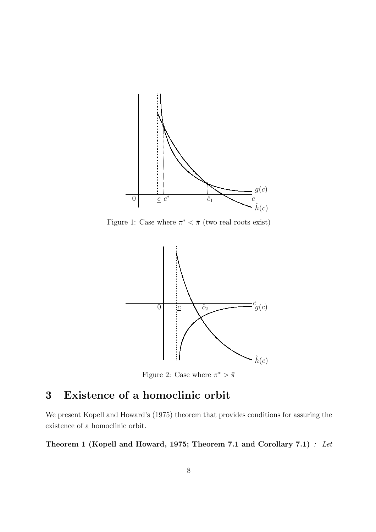

Figure 1: Case where  $\pi^* < \bar{\pi}$  (two real roots exist)



Figure 2: Case where  $\pi^* > \bar{\pi}$ 

## 3 Existence of a homoclinic orbit

We present Kopell and Howard's (1975) theorem that provides conditions for assuring the existence of a homoclinic orbit.

Theorem 1 (Kopell and Howard, 1975; Theorem 7.1 and Corollary 7.1) : Let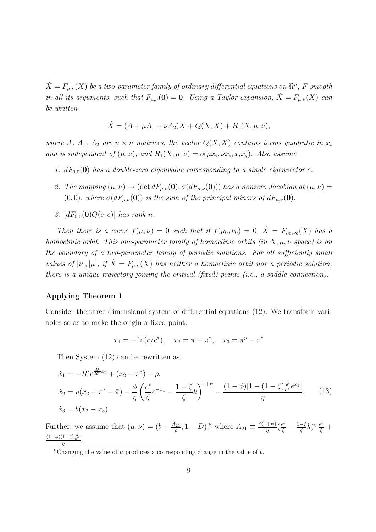$\dot{X}=F_{\mu,\nu}(X)$  be a two-parameter family of ordinary differential equations on  $\real^n$ , F smooth in all its arguments, such that  $F_{\mu,\nu}(0) = 0$ . Using a Taylor expansion,  $\dot{X} = F_{\mu,\nu}(X)$  can be written

$$
\dot{X} = (A + \mu A_1 + \nu A_2)X + Q(X, X) + R_1(X, \mu, \nu),
$$

where A,  $A_1$ ,  $A_2$  are  $n \times n$  matrices, the vector  $Q(X, X)$  contains terms quadratic in  $x_i$ and is independent of  $(\mu, \nu)$ , and  $R_1(X, \mu, \nu) = o(\mu x_i, \nu x_i, x_i x_j)$ . Also assume

- 1.  $dF_{0,0}(0)$  has a double-zero eigenvalue corresponding to a single eigenvector e.
- 2. The mapping  $(\mu, \nu) \rightarrow (\det dF_{\mu,\nu}(\mathbf{0}), \sigma(dF_{\mu,\nu}(\mathbf{0})))$  has a nonzero Jacobian at  $(\mu, \nu)$  =  $(0, 0)$ , where  $\sigma(dF_{\mu,\nu}(\mathbf{0}))$  is the sum of the principal minors of  $dF_{\mu,\nu}(\mathbf{0})$ .
- 3.  $[dF_{0,0}(0)Q(e,e)]$  has rank n.

Then there is a curve  $f(\mu, \nu) = 0$  such that if  $f(\mu_0, \nu_0) = 0$ ,  $\dot{X} = F_{\mu_0, \nu_0}(X)$  has a homoclinic orbit. This one-parameter family of homoclinic orbits (in  $X, \mu, \nu$  space) is on the boundary of a two-parameter family of periodic solutions. For all sufficiently small values of  $|\nu|, |\mu|, i \in \overline{X} = F_{\mu,\nu}(X)$  has neither a homoclinic orbit nor a periodic solution, there is a unique trajectory joining the critical (fixed) points (i.e., a saddle connection).

### Applying Theorem 1

Consider the three-dimensional system of differential equations (12). We transform variables so as to make the origin a fixed point:

$$
x_1 = -\ln(c/c^*), \quad x_2 = \pi - \pi^*, \quad x_3 = \pi^p - \pi^*
$$

Then System (12) can be rewritten as

$$
\begin{aligned}\n\dot{x}_1 &= -R^* e^{\frac{D}{R^*} x_3} + (x_2 + \pi^*) + \rho, \\
\dot{x}_2 &= \rho(x_2 + \pi^* - \bar{\pi}) - \frac{\phi}{\eta} \left( \frac{c^*}{\zeta} e^{-x_1} - \frac{1 - \zeta}{\zeta} k \right)^{1 + \psi} - \frac{(1 - \phi)[1 - (1 - \zeta)\frac{k}{c^*}e^{x_1}]}{\eta},\n\end{aligned} \tag{13}
$$
\n
$$
\dot{x}_3 = b(x_2 - x_3).
$$

Further, we assume that  $(\mu, \nu) = (b + \frac{A_{21}}{a})$  $\frac{q_{21}}{\rho}$ , 1 – D),<sup>8</sup> where  $A_{21} \equiv \frac{\phi(1+\psi)}{\eta}$  $\frac{(-i\psi)}{\eta}$  $\left(\frac{c^*}{\zeta} - \frac{1-\zeta}{\zeta}\right)$  $(\frac{-\zeta}{\zeta}k)^{\psi}\frac{c^*}{\zeta}+$  $(1-\phi)(1-\zeta)\frac{k}{c^*}$  $\frac{1-\varsigma}{\eta}$ .

<sup>&</sup>lt;sup>8</sup>Changing the value of  $\mu$  produces a corresponding change in the value of b.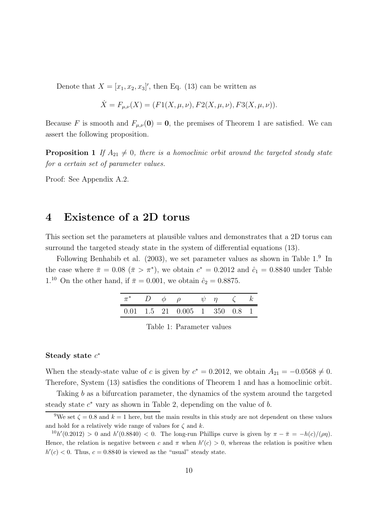Denote that  $X = [x_1, x_2, x_3]'$ , then Eq. (13) can be written as

$$
\dot{X} = F_{\mu,\nu}(X) = (F1(X,\mu,\nu), F2(X,\mu,\nu), F3(X,\mu,\nu)).
$$

Because F is smooth and  $F_{\mu,\nu}(0) = 0$ , the premises of Theorem 1 are satisfied. We can assert the following proposition.

**Proposition 1** If  $A_{21} \neq 0$ , there is a homoclinic orbit around the targeted steady state for a certain set of parameter values.

Proof: See Appendix A.2.

### 4 Existence of a 2D torus

This section set the parameters at plausible values and demonstrates that a 2D torus can surround the targeted steady state in the system of differential equations (13).

Following Benhabib et al.  $(2003)$ , we set parameter values as shown in Table 1.<sup>9</sup> In the case where  $\bar{\pi} = 0.08$   $(\bar{\pi} > \pi^*)$ , we obtain  $c^* = 0.2012$  and  $\hat{c}_1 = 0.8840$  under Table 1.<sup>10</sup> On the other hand, if  $\bar{\pi} = 0.001$ , we obtain  $\hat{c}_2 = 0.8875$ .

|  | $\pi^*$ D $\phi$ $\rho$                                                   | $\psi$ $\eta$ $\zeta$ $k$ |  |
|--|---------------------------------------------------------------------------|---------------------------|--|
|  | $0.01 \quad 1.5 \quad 21 \quad 0.005 \quad 1 \quad 350 \quad 0.8 \quad 1$ |                           |  |

### Steady state  $c^*$

When the steady-state value of c is given by  $c^* = 0.2012$ , we obtain  $A_{21} = -0.0568 \neq 0$ . Therefore, System (13) satisfies the conditions of Theorem 1 and has a homoclinic orbit.

Taking b as a bifurcation parameter, the dynamics of the system around the targeted steady state  $c^*$  vary as shown in Table 2, depending on the value of  $b$ .

<sup>&</sup>lt;sup>9</sup>We set  $\zeta = 0.8$  and  $k = 1$  here, but the main results in this study are not dependent on these values and hold for a relatively wide range of values for  $\zeta$  and  $k$ .

 $^{10}h'(0.2012) > 0$  and  $h'(0.8840) < 0$ . The long-run Phillips curve is given by  $\pi - \bar{\pi} = -h(c)/(\rho \eta)$ . Hence, the relation is negative between c and  $\pi$  when  $h'(c) > 0$ , whereas the relation is positive when  $h'(c) < 0$ . Thus,  $c = 0.8840$  is viewed as the "usual" steady state.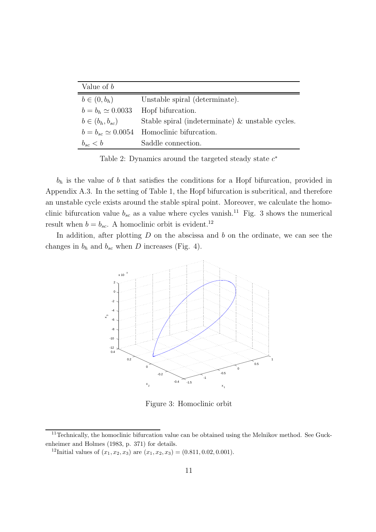| Value of $b$            |                                                     |  |
|-------------------------|-----------------------------------------------------|--|
| $b \in (0, b_h)$        | Unstable spiral (determinate).                      |  |
| $b = b_h \simeq 0.0033$ | Hopf bifurcation.                                   |  |
| $b\in(b_h,b_{sc})$      | Stable spiral (indeterminate) $\&$ unstable cycles. |  |
|                         | $b = b_{sc} \simeq 0.0054$ Homoclinic bifurcation.  |  |
| $b_{sc} < b$            | Saddle connection.                                  |  |

Table 2: Dynamics around the targeted steady state  $c^*$ 

 $b<sub>h</sub>$  is the value of b that satisfies the conditions for a Hopf bifurcation, provided in Appendix A.3. In the setting of Table 1, the Hopf bifurcation is subcritical, and therefore an unstable cycle exists around the stable spiral point. Moreover, we calculate the homoclinic bifurcation value  $b_{sc}$  as a value where cycles vanish.<sup>11</sup> Fig. 3 shows the numerical result when  $b = b_{sc}$ . A homoclinic orbit is evident.<sup>12</sup>

In addition, after plotting  $D$  on the abscissa and  $b$  on the ordinate, we can see the changes in  $b_h$  and  $b_{sc}$  when D increases (Fig. 4).



Figure 3: Homoclinic orbit

 $11$ Technically, the homoclinic bifurcation value can be obtained using the Melnikov method. See Guckenheimer and Holmes (1983, p. 371) for details.

<sup>&</sup>lt;sup>12</sup>Initial values of  $(x_1, x_2, x_3)$  are  $(x_1, x_2, x_3) = (0.811, 0.02, 0.001)$ .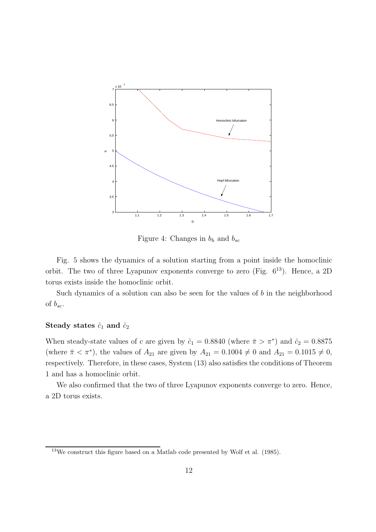

Figure 4: Changes in  $b_h$  and  $b_{sc}$ 

Fig. 5 shows the dynamics of a solution starting from a point inside the homoclinic orbit. The two of three Lyapunov exponents converge to zero (Fig.  $6^{13}$ ). Hence, a 2D torus exists inside the homoclinic orbit.

Such dynamics of a solution can also be seen for the values of  $b$  in the neighborhood of  $b_{sc}$ .

#### Steady states  $\hat{c}_1$  and  $\hat{c}_2$

When steady-state values of c are given by  $\hat{c}_1 = 0.8840$  (where  $\bar{\pi} > \pi^*$ ) and  $\hat{c}_2 = 0.8875$ (where  $\bar{\pi} < \pi^*$ ), the values of  $A_{21}$  are given by  $A_{21} = 0.1004 \neq 0$  and  $A_{21} = 0.1015 \neq 0$ , respectively. Therefore, in these cases, System (13) also satisfies the conditions of Theorem 1 and has a homoclinic orbit.

We also confirmed that the two of three Lyapunov exponents converge to zero. Hence, a 2D torus exists.

<sup>13</sup>We construct this figure based on a Matlab code presented by Wolf et al. (1985).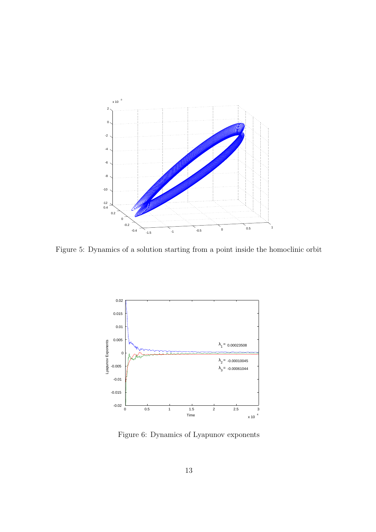

Figure 5: Dynamics of a solution starting from a point inside the homoclinic orbit



Figure 6: Dynamics of Lyapunov exponents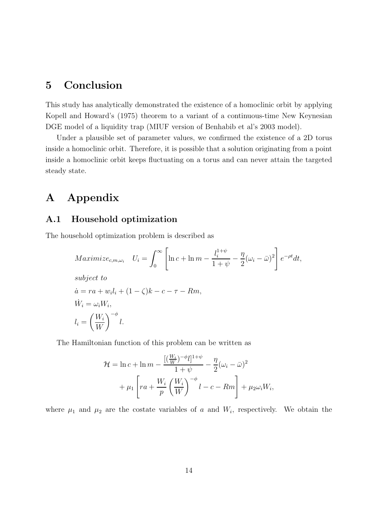### 5 Conclusion

This study has analytically demonstrated the existence of a homoclinic orbit by applying Kopell and Howard's (1975) theorem to a variant of a continuous-time New Keynesian DGE model of a liquidity trap (MIUF version of Benhabib et al's 2003 model).

Under a plausible set of parameter values, we confirmed the existence of a 2D torus inside a homoclinic orbit. Therefore, it is possible that a solution originating from a point inside a homoclinic orbit keeps fluctuating on a torus and can never attain the targeted steady state.

## A Appendix

### A.1 Household optimization

The household optimization problem is described as

$$
\begin{aligned}\nMaximize_{c,m,\omega_i} \quad U_i &= \int_0^\infty \left[ \ln c + \ln m - \frac{l_i^{1+\psi}}{1+\psi} - \frac{\eta}{2} (\omega_i - \bar{\omega})^2 \right] e^{-\rho t} dt, \\
\text{subject to} \\
\dot{a} &= ra + w_i l_i + (1 - \zeta) k - c - \tau - Rm, \\
\dot{W}_i &= \omega_i W_i, \\
l_i &= \left( \frac{W_i}{W} \right)^{-\phi} l.\n\end{aligned}
$$

The Hamiltonian function of this problem can be written as

$$
\mathcal{H} = \ln c + \ln m - \frac{[(\frac{W_i}{W})^{-\phi}l]^{1+\psi}}{1+\psi} - \frac{\eta}{2}(\omega_i - \bar{\omega})^2
$$

$$
+ \mu_1 \left[ ra + \frac{W_i}{p} \left( \frac{W_i}{W} \right)^{-\phi} l - c - Rm \right] + \mu_2 \omega_i W_i,
$$

where  $\mu_1$  and  $\mu_2$  are the costate variables of a and  $W_i$ , respectively. We obtain the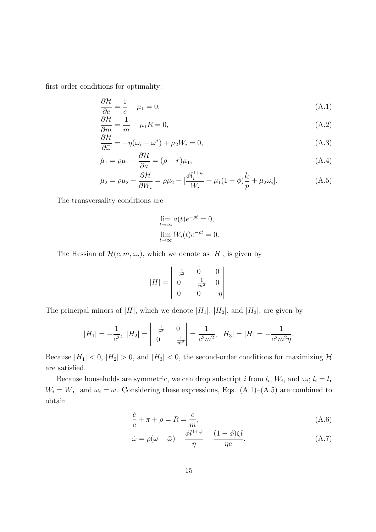first-order conditions for optimality:

$$
\frac{\partial \mathcal{H}}{\partial c} = \frac{1}{c} - \mu_1 = 0,\tag{A.1}
$$

$$
\frac{\partial \mathcal{H}}{\partial m} = \frac{1}{m} - \mu_1 R = 0,\tag{A.2}
$$

$$
\frac{\partial \mathcal{H}}{\partial \bar{\omega}} = -\eta(\omega_i - \omega^*) + \mu_2 W_i = 0, \tag{A.3}
$$

$$
\dot{\mu}_1 = \rho \mu_1 - \frac{\partial \mathcal{H}}{\partial a} = (\rho - r)\mu_1,\tag{A.4}
$$

$$
\dot{\mu}_2 = \rho \mu_2 - \frac{\partial \mathcal{H}}{\partial W_i} = \rho \mu_2 - \left[\frac{\phi l_i^{1+\psi}}{W_i} + \mu_1 (1-\phi) \frac{l_i}{p} + \mu_2 \omega_i\right]. \tag{A.5}
$$

The transversality conditions are

$$
\lim_{t \to \infty} a(t)e^{-\rho t} = 0,
$$
  

$$
\lim_{t \to \infty} W_i(t)e^{-\rho t} = 0.
$$

The Hessian of  $\mathcal{H}(c, m, \omega_i)$ , which we denote as |H|, is given by

$$
|H| = \begin{vmatrix} -\frac{1}{c^2} & 0 & 0 \\ 0 & -\frac{1}{m^2} & 0 \\ 0 & 0 & -\eta \end{vmatrix}.
$$

The principal minors of  $|H|$ , which we denote  $|H_1|$ ,  $|H_2|$ , and  $|H_3|$ , are given by

$$
|H_1| = -\frac{1}{c^2}, \ |H_2| = \begin{vmatrix} -\frac{1}{c^2} & 0\\ 0 & -\frac{1}{m^2} \end{vmatrix} = \frac{1}{c^2 m^2}, \ |H_3| = |H| = -\frac{1}{c^2 m^2 \eta}.
$$

Because  $|H_1| < 0$ ,  $|H_2| > 0$ , and  $|H_3| < 0$ , the second-order conditions for maximizing  $\mathcal{H}$ are satisfied.

Because households are symmetric, we can drop subscript i from  $l_i$ ,  $W_i$ , and  $\omega_i$ ; l obtain  $W_i = W$ , and  $\omega_i = \omega$ . Considering these expressions, Eqs. (A.1)–(A.5) are combined to  $i = l,$ 

$$
\frac{\dot{c}}{c} + \pi + \rho = R = \frac{c}{m},\tag{A.6}
$$

$$
\dot{\omega} = \rho(\omega - \bar{\omega}) - \frac{\phi l^{1+\psi}}{\eta} - \frac{(1-\phi)\zeta l}{\eta c}.
$$
\n(A.7)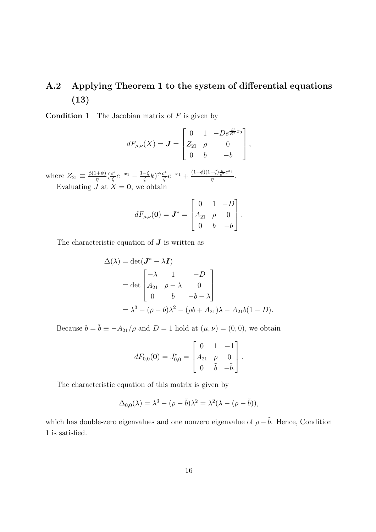## A.2 Applying Theorem 1 to the system of differential equations (13)

**Condition 1** The Jacobian matrix of  $F$  is given by

$$
dF_{\mu,\nu}(X) = \mathbf{J} = \begin{bmatrix} 0 & 1 & -De^{\frac{D}{R^*}x_3} \\ Z_{21} & \rho & 0 \\ 0 & b & -b \end{bmatrix},
$$

where  $Z_{21} \equiv \frac{\phi(1+\psi)}{n}$  $rac{+\psi}{\eta}$  $\left(\frac{c^*}{\zeta}\right)$  $\frac{e^{x}}{\zeta}e^{-x_1}-\frac{1-\zeta}{\zeta}$  $\frac{-\zeta}{\zeta}k)^{\psi}\frac{c^*}{\zeta}$  $\frac{e^*}{\zeta}e^{-x_1}+\frac{(1-\phi)(1-\zeta)\frac{k}{e^*}e^{x_1}}{\eta}$  $\frac{-\zeta\int_{c^{*}}e^{-t}}{\eta}$ .

Evaluating  $J$  at  $X = 0$ , we obtain

$$
dF_{\mu,\nu}(\mathbf{0}) = \mathbf{J}^* = \begin{bmatrix} 0 & 1 & -D \\ A_{21} & \rho & 0 \\ 0 & b & -b \end{bmatrix}.
$$

The characteristic equation of  $J$  is written as

$$
\Delta(\lambda) = \det(\mathbf{J}^* - \lambda \mathbf{I})
$$
  
= det  $\begin{bmatrix} -\lambda & 1 & -D \\ A_{21} & \rho - \lambda & 0 \\ 0 & b & -b - \lambda \end{bmatrix}$   
=  $\lambda^3 - (\rho - b)\lambda^2 - (\rho b + A_{21})\lambda - A_{21}b(1 - D).$ 

Because  $b = \tilde{b} \equiv -A_{21}/\rho$  and  $D = 1$  hold at  $(\mu, \nu) = (0, 0)$ , we obtain

$$
dF_{0,0}(\mathbf{0}) = J_{0,0}^* = \begin{bmatrix} 0 & 1 & -1 \\ A_{21} & \rho & 0 \\ 0 & \tilde{b} & -\tilde{b} \end{bmatrix}.
$$

The characteristic equation of this matrix is given by

$$
\Delta_{0,0}(\lambda) = \lambda^3 - (\rho - \tilde{b})\lambda^2 = \lambda^2(\lambda - (\rho - \tilde{b})),
$$

which has double-zero eigenvalues and one nonzero eigenvalue of  $\rho - \tilde{b}$ . Hence, Condition 1 is satisfied.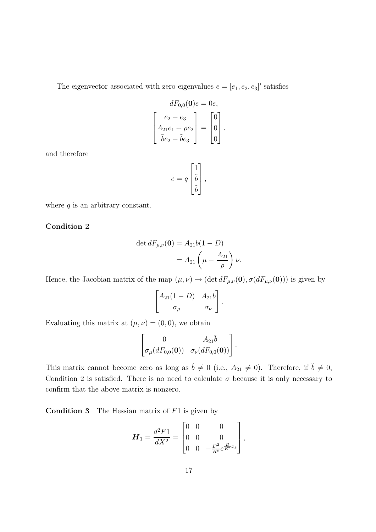The eigenvector associated with zero eigenvalues  $e = [e_1, e_2, e_3]'$  satisfies

$$
dF_{0,0}(\mathbf{0})e = 0e,
$$
  

$$
\begin{bmatrix} e_2 - e_3 \\ A_{21}e_1 + \rho e_2 \\ \tilde{b}e_2 - \tilde{b}e_3 \end{bmatrix} = \begin{bmatrix} 0 \\ 0 \\ 0 \end{bmatrix},
$$

and therefore

$$
e = q \begin{bmatrix} 1 \\ \tilde{b} \\ \tilde{b} \end{bmatrix},
$$

where  $q$  is an arbitrary constant.

### Condition 2

$$
\det dF_{\mu,\nu}(\mathbf{0}) = A_{21}b(1 - D)
$$

$$
= A_{21}\left(\mu - \frac{A_{21}}{\rho}\right)\nu.
$$

Hence, the Jacobian matrix of the map  $(\mu, \nu) \to (\det dF_{\mu,\nu}(\mathbf{0}), \sigma(dF_{\mu,\nu}(\mathbf{0})))$  is given by

$$
\begin{bmatrix} A_{21}(1-D) & A_{21}b \\ \sigma_{\mu} & \sigma_{\nu} \end{bmatrix}.
$$

Evaluating this matrix at  $(\mu, \nu) = (0, 0)$ , we obtain

$$
\begin{bmatrix} 0 & A_{21}\tilde{b} \\ \sigma_{\mu}(dF_{0,0}(\mathbf{0})) & \sigma_{\nu}(dF_{0,0}(\mathbf{0})) \end{bmatrix}.
$$

This matrix cannot become zero as long as  $\tilde{b} \neq 0$  (i.e.,  $A_{21} \neq 0$ ). Therefore, if  $\tilde{b} \neq 0$ , Condition 2 is satisfied. There is no need to calculate  $\sigma$  because it is only necessary to confirm that the above matrix is nonzero.

**Condition 3** The Hessian matrix of  $F1$  is given by

$$
\boldsymbol{H}_1 = \frac{d^2 F1}{dX^2} = \begin{bmatrix} 0 & 0 & 0 \\ 0 & 0 & 0 \\ 0 & 0 & -\frac{D^2}{R^*} e^{\frac{D}{R^*} x_3} \end{bmatrix},
$$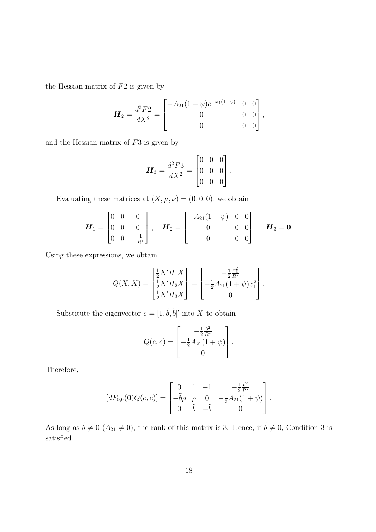the Hessian matrix of  $F2$  is given by

$$
\boldsymbol{H}_2 = \frac{d^2 F2}{dX^2} = \begin{bmatrix} -A_{21}(1+\psi)e^{-x_1(1+\psi)} & 0 & 0\\ 0 & 0 & 0\\ 0 & 0 & 0 \end{bmatrix},
$$

and the Hessian matrix of  $F3$  is given by

$$
\boldsymbol{H}_3 = \frac{d^2 F3}{dX^2} = \begin{bmatrix} 0 & 0 & 0 \\ 0 & 0 & 0 \\ 0 & 0 & 0 \end{bmatrix}.
$$

Evaluating these matrices at  $(X, \mu, \nu) = (0, 0, 0)$ , we obtain

$$
\boldsymbol{H}_1 = \begin{bmatrix} 0 & 0 & 0 \\ 0 & 0 & 0 \\ 0 & 0 & -\frac{1}{R^*} \end{bmatrix}, \quad \boldsymbol{H}_2 = \begin{bmatrix} -A_{21}(1+\psi) & 0 & 0 \\ 0 & 0 & 0 \\ 0 & 0 & 0 \end{bmatrix}, \quad \boldsymbol{H}_3 = \boldsymbol{0}.
$$

Using these expressions, we obtain

$$
Q(X, X) = \begin{bmatrix} \frac{1}{2}X'H_1X \\ \frac{1}{2}X'H_2X \\ \frac{1}{2}X'H_3X \end{bmatrix} = \begin{bmatrix} -\frac{1}{2}\frac{x_3^2}{R^*} \\ -\frac{1}{2}A_{21}(1+\psi)x_1^2 \\ 0 \end{bmatrix}.
$$

Substitute the eigenvector  $e = [1, \tilde{b}, \tilde{b}]'$  into X to obtain

$$
Q(e, e) = \begin{bmatrix} -\frac{1}{2} \frac{\tilde{b}^2}{R^*} \\ -\frac{1}{2} A_{21} (1 + \psi) \\ 0 \end{bmatrix}.
$$

Therefore,

$$
[dF_{0,0}(\mathbf{0})Q(e,e)] = \begin{bmatrix} 0 & 1 & -1 & -\frac{1}{2}\frac{\tilde{b}^2}{R^*} \\ -\tilde{b}\rho & \rho & 0 & -\frac{1}{2}A_{21}(1+\psi) \\ 0 & \tilde{b} & -\tilde{b} & 0 \end{bmatrix}.
$$

As long as  $\tilde{b} \neq 0$  ( $A_{21} \neq 0$ ), the rank of this matrix is 3. Hence, if  $\tilde{b} \neq 0$ , Condition 3 is satisfied.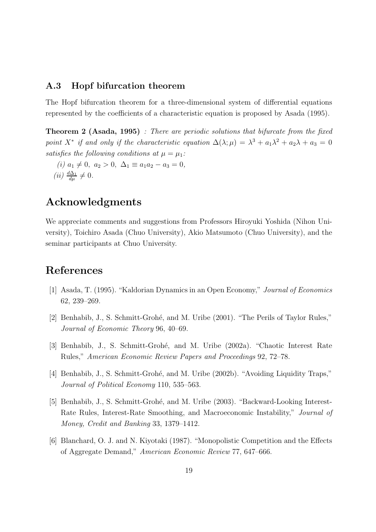### A.3 Hopf bifurcation theorem

The Hopf bifurcation theorem for a three-dimensional system of differential equations represented by the coefficients of a characteristic equation is proposed by Asada (1995).

Theorem 2 (Asada, 1995) : There are periodic solutions that bifurcate from the fixed point X<sup>\*</sup> if and only if the characteristic equation  $\Delta(\lambda;\mu) = \lambda^3 + a_1\lambda^2 + a_2\lambda + a_3 = 0$ satisfies the following conditions at  $\mu = \mu_1$ :

(i)  $a_1 \neq 0$ ,  $a_2 > 0$ ,  $\Delta_1 \equiv a_1 a_2 - a_3 = 0$ ,  $(ii) \frac{d\Delta_1}{d\mu} \neq 0.$ 

## Acknowledgments

We appreciate comments and suggestions from Professors Hiroyuki Yoshida (Nihon University), Toichiro Asada (Chuo University), Akio Matsumoto (Chuo University), and the seminar participants at Chuo University.

## References

- [1] Asada, T. (1995). "Kaldorian Dynamics in an Open Economy," Journal of Economics 62, 239–269.
- [2] Benhabib, J., S. Schmitt-Grohé, and M. Uribe (2001). "The Perils of Taylor Rules," Journal of Economic Theory 96, 40–69.
- [3] Benhabib, J., S. Schmitt-Grohé, and M. Uribe (2002a). "Chaotic Interest Rate Rules," American Economic Review Papers and Proceedings 92, 72–78.
- [4] Benhabib, J., S. Schmitt-Grohé, and M. Uribe (2002b). "Avoiding Liquidity Traps," Journal of Political Economy 110, 535–563.
- [5] Benhabib, J., S. Schmitt-Grohé, and M. Uribe (2003). "Backward-Looking Interest-Rate Rules, Interest-Rate Smoothing, and Macroeconomic Instability," Journal of Money, Credit and Banking 33, 1379–1412.
- [6] Blanchard, O. J. and N. Kiyotaki (1987). "Monopolistic Competition and the Effects of Aggregate Demand," American Economic Review 77, 647–666.